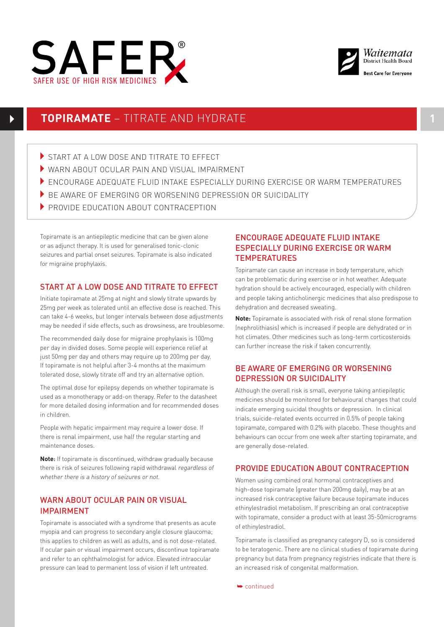



# **TOPIRAMATE** – TITRATE AND HYDRATE **1**

- START AT A LOW DOSE AND TITRATE TO EFFECT
- 4WARN ABOUT OCULAR PAIN AND VISUAL IMPAIRMENT
- 4ENCOURAGE ADEQUATE FLUID INTAKE ESPECIALLY DURING EXERCISE OR WARM TEMPERATURES
- $\blacktriangleright$  RE AWARE OF EMERGING OR WORSENING DEPRESSION OR SUICIDALITY
- SAFER USE OF HIGH RISK MEDICINES PROVIDE EDUCATION ABOUT CONTRACEPTION

Topiramate is an antiepileptic medicine that can be given alone or as adjunct therapy. It is used for generalised tonic-clonic seizures and partial onset seizures. Topiramate is also indicated for migraine prophylaxis.

## START AT A LOW DOSE AND TITRATE TO EFFECT

Initiate topiramate at 25mg at night and slowly titrate upwards by 25mg per week as tolerated until an effective dose is reached. This can take 4-6 weeks, but longer intervals between dose adjustments may be needed if side effects, such as drowsiness, are troublesome.

The recommended daily dose for migraine prophylaxis is 100mg per day in divided doses. Some people will experience relief at just 50mg per day and others may require up to 200mg per day. If topiramate is not helpful after 3-4 months at the maximum tolerated dose, slowly titrate off and try an alternative option.

The optimal dose for epilepsy depends on whether topiramate is used as a monotherapy or add-on therapy. Refer to the datasheet for more detailed dosing information and for recommended doses in children.

People with hepatic impairment may require a lower dose. If there is renal impairment, use half the regular starting and maintenance doses.

**Note**: If topiramate is discontinued, withdraw gradually because there is risk of seizures following rapid withdrawal regardless of whether there is a history of seizures or not.

## WARN ABOUT OCULAR PAIN OR VISUAL IMPAIRMENT

Topiramate is associated with a syndrome that presents as acute myopia and can progress to secondary angle closure glaucoma; this applies to children as well as adults, and is not dose-related. If ocular pain or visual impairment occurs, discontinue topiramate and refer to an ophthalmologist for advice. Elevated intraocular pressure can lead to permanent loss of vision if left untreated.

# ENCOURAGE ADEQUATE FLUID INTAKE ESPECIALLY DURING EXERCISE OR WARM **TEMPERATURES**

Topiramate can cause an increase in body temperature, which can be problematic during exercise or in hot weather. Adequate hydration should be actively encouraged, especially with children and people taking anticholinergic medicines that also predispose to dehydration and decreased sweating.

**Note:** Topiramate is associated with risk of renal stone formation (nephrolithiasis) which is increased if people are dehydrated or in hot climates. Other medicines such as long-term corticosteroids can further increase the risk if taken concurrently.

### BE AWARE OF EMERGING OR WORSENING DEPRESSION OR SUICIDALITY

Although the overall risk is small, everyone taking antiepileptic medicines should be monitored for behavioural changes that could indicate emerging suicidal thoughts or depression. In clinical trials, suicide-related events occurred in 0.5% of people taking topiramate, compared with 0.2% with placebo. These thoughts and behaviours can occur from one week after starting topiramate, and are generally dose-related.

### PROVIDE EDUCATION ABOUT CONTRACEPTION

Women using combined oral hormonal contraceptives and high-dose topiramate (greater than 200mg daily), may be at an increased risk contraceptive failure because topiramate induces ethinylestradiol metabolism. If prescribing an oral contraceptive with topiramate, consider a product with at least 35-50micrograms of ethinylestradiol.

Topiramate is classified as pregnancy category D, so is considered to be teratogenic. There are no clinical studies of topiramate during pregnancy but data from pregnancy registries indicate that there is an increased risk of congenital malformation.

➥ continued